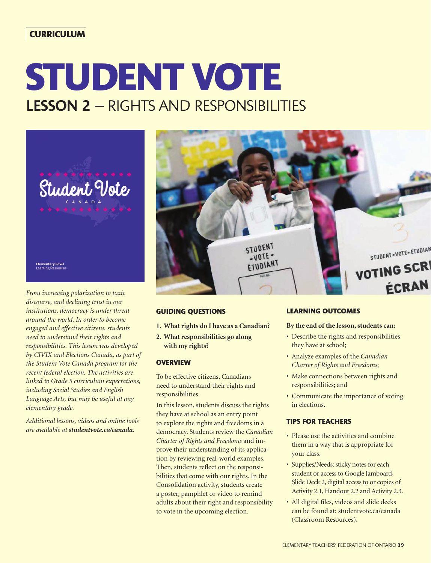# **CURRICULUM**

# **STUDENT VOTE** LESSON 2 – RIGHTS AND RESPONSIBILITIES



*From increasing polarization to toxic discourse, and declining trust in our institutions, democracy is under threat around the world. In order to become engaged and effective citizens, students need to understand their rights and responsibilities. This lesson was developed by CIVIX and Elections Canada, as part of the Student Vote Canada program for the recent federal election. The activities are linked to Grade 5 curriculum expectations, including Social Studies and English Language Arts, but may be useful at any elementary grade.* 

*Additional lessons, videos and online tools are available at studentvote.ca/canada.*



#### **GUIDING QUESTIONS**

- **1. What rights do I have as a Canadian?**
- **2. What responsibilities go along with my rights?**

#### **OVERVIEW**

To be effective citizens, Canadians need to understand their rights and responsibilities.

In this lesson, students discuss the rights they have at school as an entry point to explore the rights and freedoms in a democracy. Students review the *Canadian Charter of Rights and Freedoms* and improve their understanding of its application by reviewing real-world examples. Then, students reflect on the responsibilities that come with our rights. In the Consolidation activity, students create a poster, pamphlet or video to remind adults about their right and responsibility to vote in the upcoming election.

## **LEARNING OUTCOMES**

#### **By the end of the lesson, students can:**

- Describe the rights and responsibilities they have at school;
- Analyze examples of the *Canadian Charter of Rights and Freedoms*;
- Make connections between rights and responsibilities; and
- Communicate the importance of voting in elections.

#### **TIPS FOR TEACHERS**

- Please use the activities and combine them in a way that is appropriate for your class.
- Supplies/Needs: sticky notes for each student or access to Google Jamboard, Slide Deck 2, digital access to or copies of Activity 2.1, Handout 2.2 and Activity 2.3.
- All digital files, videos and slide decks can be found at: studentvote.ca/canada (Classroom Resources).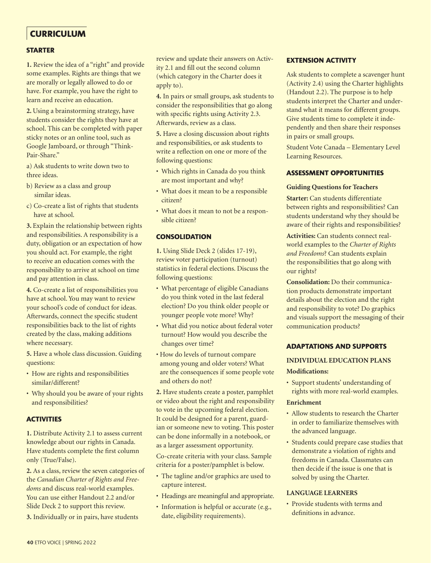# **CURRICULUM**

#### **STARTER**

**1.** Review the idea of a "right" and provide some examples. Rights are things that we are morally or legally allowed to do or have. For example, you have the right to learn and receive an education.

**2.** Using a brainstorming strategy, have students consider the rights they have at school. This can be completed with paper sticky notes or an online tool, such as Google Jamboard, or through "Think-Pair-Share."

a) Ask students to write down two to three ideas.

- b) Review as a class and group similar ideas.
- c) Co-create a list of rights that students have at school.

**3.** Explain the relationship between rights and responsibilities. A responsibility is a duty, obligation or an expectation of how you should act. For example, the right to receive an education comes with the responsibility to arrive at school on time and pay attention in class.

**4.** Co-create a list of responsibilities you have at school. You may want to review your school's code of conduct for ideas. Afterwards, connect the specific student responsibilities back to the list of rights created by the class, making additions where necessary.

**5.** Have a whole class discussion. Guiding questions:

- How are rights and responsibilities similar/different?
- Why should you be aware of your rights and responsibilities?

#### **ACTIVITIES**

**1.** Distribute Activity 2.1 to assess current knowledge about our rights in Canada. Have students complete the first column only (True/False).

**2.** As a class, review the seven categories of the *Canadian Charter of Rights and Freedoms* and discuss real-world examples. You can use either Handout 2.2 and/or Slide Deck 2 to support this review.

**3.** Individually or in pairs, have students

review and update their answers on Activity 2.1 and fill out the second column (which category in the Charter does it apply to).

**4.** In pairs or small groups, ask students to consider the responsibilities that go along with specific rights using Activity 2.3. Afterwards, review as a class.

**5.** Have a closing discussion about rights and responsibilities, or ask students to write a reflection on one or more of the following questions:

- Which rights in Canada do you think are most important and why?
- What does it mean to be a responsible citizen?
- What does it mean to not be a responsible citizen?

#### **CONSOLIDATION**

**1.** Using Slide Deck 2 (slides 17-19), review voter participation (turnout) statistics in federal elections. Discuss the following questions:

- What percentage of eligible Canadians do you think voted in the last federal election? Do you think older people or younger people vote more? Why?
- What did you notice about federal voter turnout? How would you describe the changes over time?
- How do levels of turnout compare among young and older voters? What are the consequences if some people vote and others do not?
- **2.** Have students create a poster, pamphlet or video about the right and responsibility to vote in the upcoming federal election. It could be designed for a parent, guardian or someone new to voting. This poster can be done informally in a notebook, or as a larger assessment opportunity.

Co-create criteria with your class. Sample criteria for a poster/pamphlet is below.

- The tagline and/or graphics are used to capture interest.
- Headings are meaningful and appropriate.
- Information is helpful or accurate (e.g., date, eligibility requirements).

#### **EXTENSION ACTIVITY**

Ask students to complete a scavenger hunt (Activity 2.4) using the Charter highlights (Handout 2.2). The purpose is to help students interpret the Charter and understand what it means for different groups. Give students time to complete it independently and then share their responses in pairs or small groups.

Student Vote Canada – Elementary Level Learning Resources.

#### **ASSESSMENT OPPORTUNITIES**

#### **Guiding Questions for Teachers**

**Starter:** Can students differentiate between rights and responsibilities? Can students understand why they should be aware of their rights and responsibilities?

**Activities:** Can students connect realworld examples to the *Charter of Rights and Freedoms*? Can students explain the responsibilities that go along with our rights?

**Consolidation:** Do their communication products demonstrate important details about the election and the right and responsibility to vote? Do graphics and visuals support the messaging of their communication products?

#### **ADAPTATIONS AND SUPPORTS**

## **INDIVIDUAL EDUCATION PLANS Modifications:**

• Support students' understanding of rights with more real-world examples.

#### **Enrichment**

- Allow students to research the Charter in order to familiarize themselves with the advanced language.
- Students could prepare case studies that demonstrate a violation of rights and freedoms in Canada. Classmates can then decide if the issue is one that is solved by using the Charter.

#### **LANGUAGE LEARNERS**

• Provide students with terms and definitions in advance.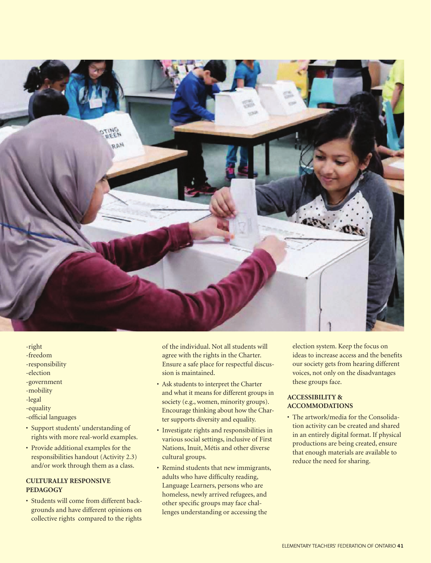

- -right
- -freedom
- -responsibility
- -election
- -government
- -mobility
- -legal
- -equality
- -official languages
- Support students' understanding of rights with more real-world examples.
- Provide additional examples for the responsibilities handout (Activity 2.3) and/or work through them as a class.

#### **CULTURALLY RESPONSIVE PEDAGOGY**

• Students will come from different backgrounds and have different opinions on collective rights compared to the rights

of the individual. Not all students will agree with the rights in the Charter. Ensure a safe place for respectful discussion is maintained.

- Ask students to interpret the Charter and what it means for different groups in society (e.g., women, minority groups). Encourage thinking about how the Charter supports diversity and equality.
- Investigate rights and responsibilities in various social settings, inclusive of First Nations, Inuit, Métis and other diverse cultural groups.
- Remind students that new immigrants, adults who have difficulty reading, Language Learners, persons who are homeless, newly arrived refugees, and other specific groups may face challenges understanding or accessing the

election system. Keep the focus on ideas to increase access and the benefits our society gets from hearing different voices, not only on the disadvantages these groups face.

#### **ACCESSIBILITY & ACCOMMODATIONS**

• The artwork/media for the Consolidation activity can be created and shared in an entirely digital format. If physical productions are being created, ensure that enough materials are available to reduce the need for sharing.